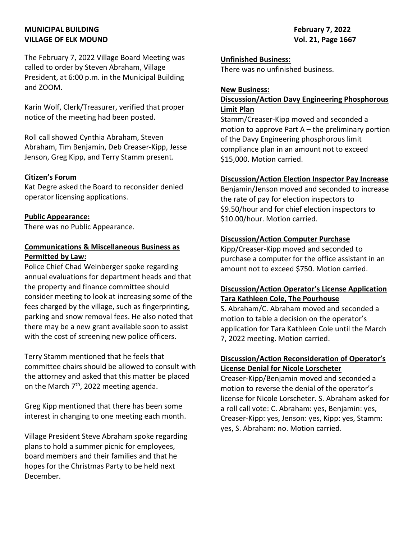# MUNICIPAL BUILDING **February 7, 2022** VILLAGE OF ELK MOUND VOL. 21, Page 1667

The February 7, 2022 Village Board Meeting was called to order by Steven Abraham, Village President, at 6:00 p.m. in the Municipal Building and ZOOM.

Karin Wolf, Clerk/Treasurer, verified that proper notice of the meeting had been posted.

Roll call showed Cynthia Abraham, Steven Abraham, Tim Benjamin, Deb Creaser-Kipp, Jesse Jenson, Greg Kipp, and Terry Stamm present.

#### Citizen's Forum

Kat Degre asked the Board to reconsider denied operator licensing applications.

#### Public Appearance:

There was no Public Appearance.

### Communications & Miscellaneous Business as Permitted by Law:

Police Chief Chad Weinberger spoke regarding annual evaluations for department heads and that the property and finance committee should consider meeting to look at increasing some of the fees charged by the village, such as fingerprinting, parking and snow removal fees. He also noted that there may be a new grant available soon to assist with the cost of screening new police officers.

Terry Stamm mentioned that he feels that committee chairs should be allowed to consult with the attorney and asked that this matter be placed on the March  $7<sup>th</sup>$ , 2022 meeting agenda.

Greg Kipp mentioned that there has been some interest in changing to one meeting each month.

Village President Steve Abraham spoke regarding plans to hold a summer picnic for employees, board members and their families and that he hopes for the Christmas Party to be held next December.

# Unfinished Business:

There was no unfinished business.

#### New Business:

### Discussion/Action Davy Engineering Phosphorous Limit Plan

Stamm/Creaser-Kipp moved and seconded a motion to approve Part A – the preliminary portion of the Davy Engineering phosphorous limit compliance plan in an amount not to exceed \$15,000. Motion carried.

# Discussion/Action Election Inspector Pay Increase

Benjamin/Jenson moved and seconded to increase the rate of pay for election inspectors to \$9.50/hour and for chief election inspectors to \$10.00/hour. Motion carried.

# Discussion/Action Computer Purchase

Kipp/Creaser-Kipp moved and seconded to purchase a computer for the office assistant in an amount not to exceed \$750. Motion carried.

# Discussion/Action Operator's License Application Tara Kathleen Cole, The Pourhouse

S. Abraham/C. Abraham moved and seconded a motion to table a decision on the operator's application for Tara Kathleen Cole until the March 7, 2022 meeting. Motion carried.

# Discussion/Action Reconsideration of Operator's License Denial for Nicole Lorscheter

Creaser-Kipp/Benjamin moved and seconded a motion to reverse the denial of the operator's license for Nicole Lorscheter. S. Abraham asked for a roll call vote: C. Abraham: yes, Benjamin: yes, Creaser-Kipp: yes, Jenson: yes, Kipp: yes, Stamm: yes, S. Abraham: no. Motion carried.